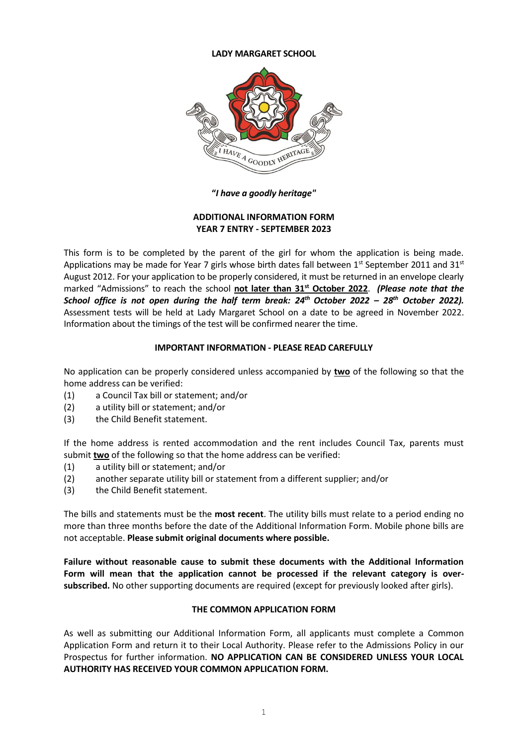#### **LADY MARGARET SCHOOL**



**"***I have a goodly heritage"*

# **ADDITIONAL INFORMATION FORM YEAR 7 ENTRY - SEPTEMBER 2023**

This form is to be completed by the parent of the girl for whom the application is being made. Applications may be made for Year 7 girls whose birth dates fall between  $1<sup>st</sup>$  September 2011 and 31 $<sup>st</sup>$ </sup> August 2012. For your application to be properly considered, it must be returned in an envelope clearly marked "Admissions" to reach the school **not later than 31st October 2022**. *(Please note that the School office is not open during the half term break: 24th October 2022 – 28th October 2022).*  Assessment tests will be held at Lady Margaret School on a date to be agreed in November 2022. Information about the timings of the test will be confirmed nearer the time.

# **IMPORTANT INFORMATION - PLEASE READ CAREFULLY**

No application can be properly considered unless accompanied by **two** of the following so that the home address can be verified:

- (1) a Council Tax bill or statement; and/or
- (2) a utility bill or statement; and/or
- (3) the Child Benefit statement.

If the home address is rented accommodation and the rent includes Council Tax, parents must submit **two** of the following so that the home address can be verified:

- (1) a utility bill or statement; and/or
- (2) another separate utility bill or statement from a different supplier; and/or
- (3) the Child Benefit statement.

The bills and statements must be the **most recent**. The utility bills must relate to a period ending no more than three months before the date of the Additional Information Form. Mobile phone bills are not acceptable. **Please submit original documents where possible.**

**Failure without reasonable cause to submit these documents with the Additional Information Form will mean that the application cannot be processed if the relevant category is oversubscribed.** No other supporting documents are required (except for previously looked after girls).

## **THE COMMON APPLICATION FORM**

As well as submitting our Additional Information Form, all applicants must complete a Common Application Form and return it to their Local Authority. Please refer to the Admissions Policy in our Prospectus for further information. **NO APPLICATION CAN BE CONSIDERED UNLESS YOUR LOCAL AUTHORITY HAS RECEIVED YOUR COMMON APPLICATION FORM.**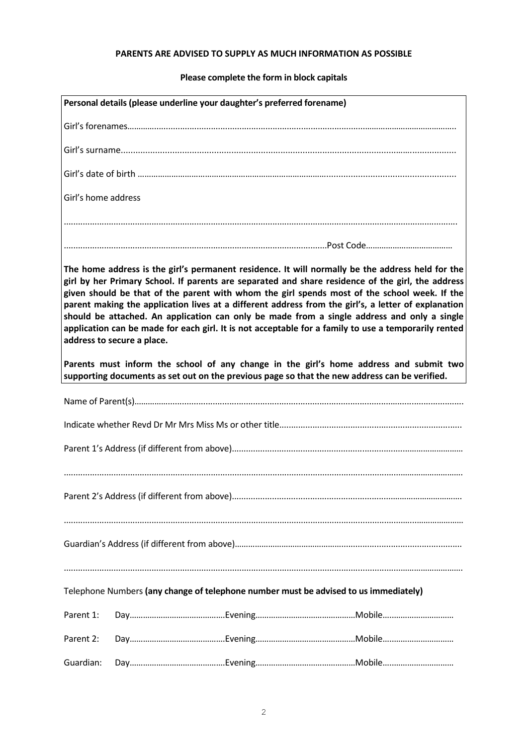# **PARENTS ARE ADVISED TO SUPPLY AS MUCH INFORMATION AS POSSIBLE**

# **Please complete the form in block capitals**

|                            | Personal details (please underline your daughter's preferred forename)                        |                                                                                                                                                                                                                                                                                                                                                                                                                                                                                                                                                                                                                     |
|----------------------------|-----------------------------------------------------------------------------------------------|---------------------------------------------------------------------------------------------------------------------------------------------------------------------------------------------------------------------------------------------------------------------------------------------------------------------------------------------------------------------------------------------------------------------------------------------------------------------------------------------------------------------------------------------------------------------------------------------------------------------|
|                            |                                                                                               |                                                                                                                                                                                                                                                                                                                                                                                                                                                                                                                                                                                                                     |
|                            |                                                                                               |                                                                                                                                                                                                                                                                                                                                                                                                                                                                                                                                                                                                                     |
|                            |                                                                                               |                                                                                                                                                                                                                                                                                                                                                                                                                                                                                                                                                                                                                     |
| Girl's home address        |                                                                                               |                                                                                                                                                                                                                                                                                                                                                                                                                                                                                                                                                                                                                     |
|                            |                                                                                               |                                                                                                                                                                                                                                                                                                                                                                                                                                                                                                                                                                                                                     |
|                            |                                                                                               |                                                                                                                                                                                                                                                                                                                                                                                                                                                                                                                                                                                                                     |
| address to secure a place. |                                                                                               | The home address is the girl's permanent residence. It will normally be the address held for the<br>girl by her Primary School. If parents are separated and share residence of the girl, the address<br>given should be that of the parent with whom the girl spends most of the school week. If the<br>parent making the application lives at a different address from the girl's, a letter of explanation<br>should be attached. An application can only be made from a single address and only a single<br>application can be made for each girl. It is not acceptable for a family to use a temporarily rented |
|                            | supporting documents as set out on the previous page so that the new address can be verified. | Parents must inform the school of any change in the girl's home address and submit two                                                                                                                                                                                                                                                                                                                                                                                                                                                                                                                              |
|                            |                                                                                               |                                                                                                                                                                                                                                                                                                                                                                                                                                                                                                                                                                                                                     |
|                            |                                                                                               |                                                                                                                                                                                                                                                                                                                                                                                                                                                                                                                                                                                                                     |
|                            |                                                                                               |                                                                                                                                                                                                                                                                                                                                                                                                                                                                                                                                                                                                                     |
|                            |                                                                                               |                                                                                                                                                                                                                                                                                                                                                                                                                                                                                                                                                                                                                     |
|                            |                                                                                               |                                                                                                                                                                                                                                                                                                                                                                                                                                                                                                                                                                                                                     |
|                            |                                                                                               |                                                                                                                                                                                                                                                                                                                                                                                                                                                                                                                                                                                                                     |
|                            |                                                                                               |                                                                                                                                                                                                                                                                                                                                                                                                                                                                                                                                                                                                                     |
|                            | Telephone Numbers (any change of telephone number must be advised to us immediately)          |                                                                                                                                                                                                                                                                                                                                                                                                                                                                                                                                                                                                                     |
| Parent 1:                  |                                                                                               |                                                                                                                                                                                                                                                                                                                                                                                                                                                                                                                                                                                                                     |
| Parent 2:                  |                                                                                               |                                                                                                                                                                                                                                                                                                                                                                                                                                                                                                                                                                                                                     |
| Guardian:                  |                                                                                               |                                                                                                                                                                                                                                                                                                                                                                                                                                                                                                                                                                                                                     |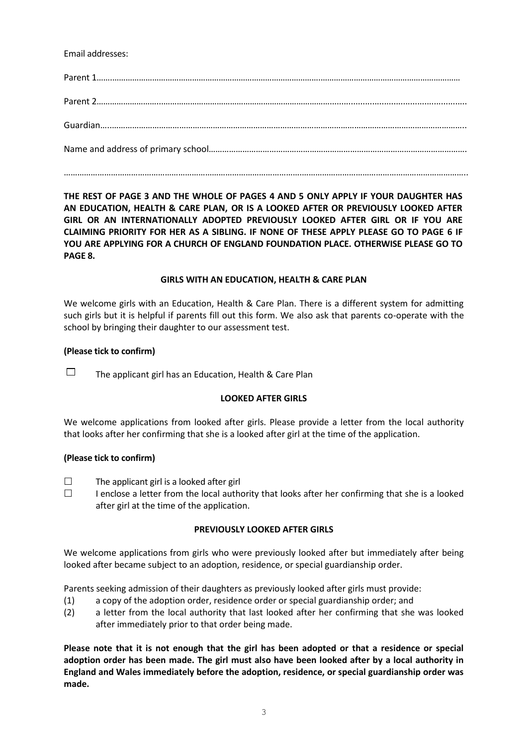# Email addresses:

…………………………………………………………………………………………….………………………………………………………………..

**THE REST OF PAGE 3 AND THE WHOLE OF PAGES 4 AND 5 ONLY APPLY IF YOUR DAUGHTER HAS AN EDUCATION, HEALTH & CARE PLAN, OR IS A LOOKED AFTER OR PREVIOUSLY LOOKED AFTER GIRL OR AN INTERNATIONALLY ADOPTED PREVIOUSLY LOOKED AFTER GIRL OR IF YOU ARE CLAIMING PRIORITY FOR HER AS A SIBLING. IF NONE OF THESE APPLY PLEASE GO TO PAGE 6 IF YOU ARE APPLYING FOR A CHURCH OF ENGLAND FOUNDATION PLACE. OTHERWISE PLEASE GO TO PAGE 8.**

## **GIRLS WITH AN EDUCATION, HEALTH & CARE PLAN**

We welcome girls with an Education, Health & Care Plan. There is a different system for admitting such girls but it is helpful if parents fill out this form. We also ask that parents co-operate with the school by bringing their daughter to our assessment test.

# **(Please tick to confirm)**

 $\Box$  The applicant girl has an Education, Health & Care Plan

## **LOOKED AFTER GIRLS**

We welcome applications from looked after girls. Please provide a letter from the local authority that looks after her confirming that she is a looked after girl at the time of the application.

## **(Please tick to confirm)**

- $\Box$  The applicant girl is a looked after girl
- $\Box$  I enclose a letter from the local authority that looks after her confirming that she is a looked after girl at the time of the application.

## **PREVIOUSLY LOOKED AFTER GIRLS**

We welcome applications from girls who were previously looked after but immediately after being looked after became subject to an adoption, residence, or special guardianship order.

Parents seeking admission of their daughters as previously looked after girls must provide:

- (1) a copy of the adoption order, residence order or special guardianship order; and
- (2) a letter from the local authority that last looked after her confirming that she was looked after immediately prior to that order being made.

**Please note that it is not enough that the girl has been adopted or that a residence or special adoption order has been made. The girl must also have been looked after by a local authority in England and Wales immediately before the adoption, residence, or special guardianship order was made.**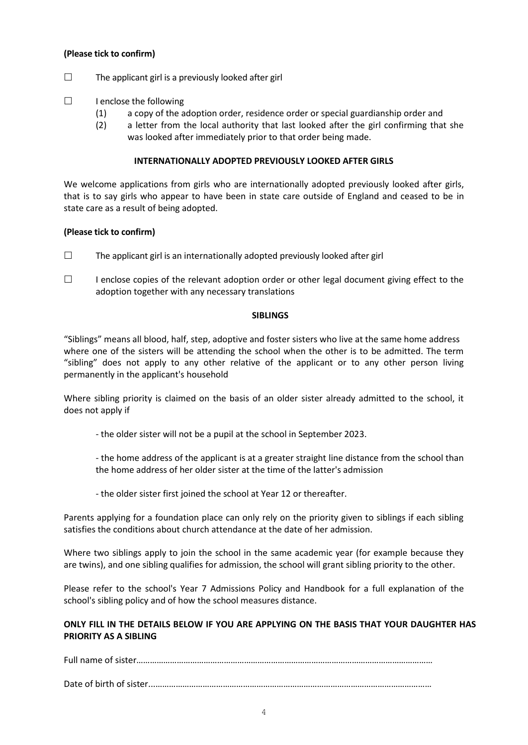## **(Please tick to confirm)**

- $\square$  The applicant girl is a previously looked after girl
- $\Box$  I enclose the following
	- (1) a copy of the adoption order, residence order or special guardianship order and
	- (2) a letter from the local authority that last looked after the girl confirming that she was looked after immediately prior to that order being made.

#### **INTERNATIONALLY ADOPTED PREVIOUSLY LOOKED AFTER GIRLS**

We welcome applications from girls who are internationally adopted previously looked after girls, that is to say girls who appear to have been in state care outside of England and ceased to be in state care as a result of being adopted.

#### **(Please tick to confirm)**

- $\Box$  The applicant girl is an internationally adopted previously looked after girl
- $\Box$  I enclose copies of the relevant adoption order or other legal document giving effect to the adoption together with any necessary translations

#### **SIBLINGS**

"Siblings" means all blood, half, step, adoptive and foster sisters who live at the same home address where one of the sisters will be attending the school when the other is to be admitted. The term "sibling" does not apply to any other relative of the applicant or to any other person living permanently in the applicant's household

Where sibling priority is claimed on the basis of an older sister already admitted to the school, it does not apply if

- the older sister will not be a pupil at the school in September 2023.
- the home address of the applicant is at a greater straight line distance from the school than the home address of her older sister at the time of the latter's admission
- the older sister first joined the school at Year 12 or thereafter.

Parents applying for a foundation place can only rely on the priority given to siblings if each sibling satisfies the conditions about church attendance at the date of her admission.

Where two siblings apply to join the school in the same academic year (for example because they are twins), and one sibling qualifies for admission, the school will grant sibling priority to the other.

Please refer to the school's Year 7 Admissions Policy and Handbook for a full explanation of the school's sibling policy and of how the school measures distance.

# **ONLY FILL IN THE DETAILS BELOW IF YOU ARE APPLYING ON THE BASIS THAT YOUR DAUGHTER HAS PRIORITY AS A SIBLING**

Full name of sister……………………………………………………………………………………………………………………

Date of birth of sister...……………………………………………………………………………………………………………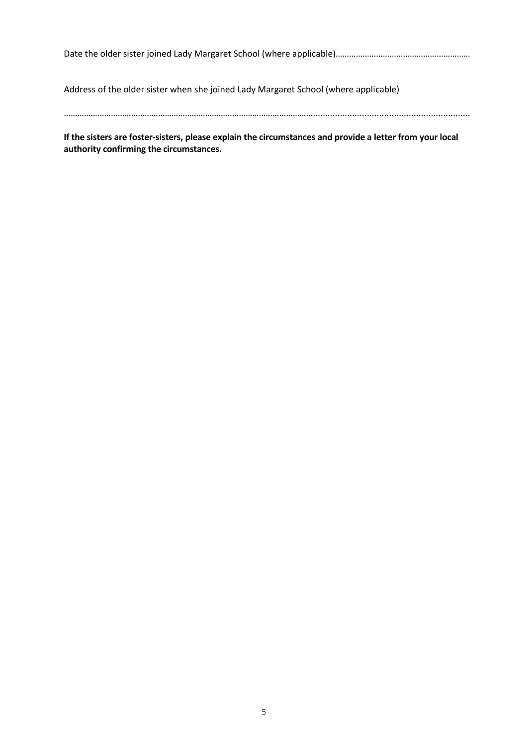Date the older sister joined Lady Margaret School (where applicable)…………………………………………………

Address of the older sister when she joined Lady Margaret School (where applicable)

**If the sisters are foster-sisters, please explain the circumstances and provide a letter from your local authority confirming the circumstances.**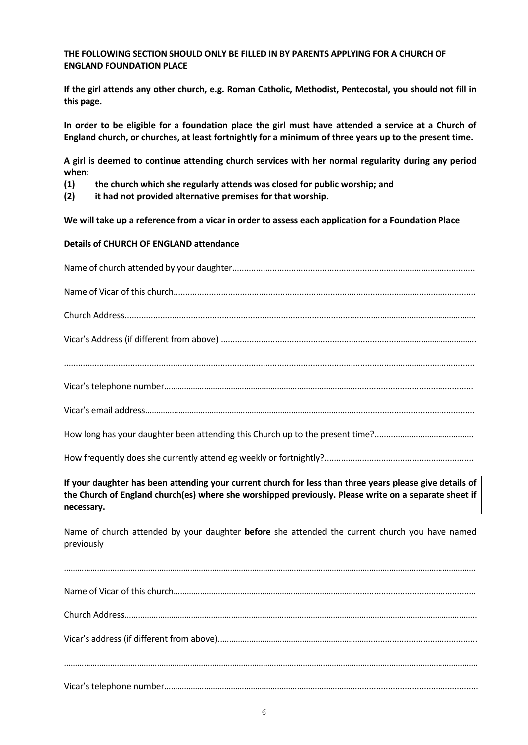## **THE FOLLOWING SECTION SHOULD ONLY BE FILLED IN BY PARENTS APPLYING FOR A CHURCH OF ENGLAND FOUNDATION PLACE**

**If the girl attends any other church, e.g. Roman Catholic, Methodist, Pentecostal, you should not fill in this page.**

**In order to be eligible for a foundation place the girl must have attended a service at a Church of England church, or churches, at least fortnightly for a minimum of three years up to the present time.**

**A girl is deemed to continue attending church services with her normal regularity during any period when:**

- **(1) the church which she regularly attends was closed for public worship; and**
- **(2) it had not provided alternative premises for that worship.**

**We will take up a reference from a vicar in order to assess each application for a Foundation Place**

## **Details of CHURCH OF ENGLAND attendance**

**If your daughter has been attending your current church for less than three years please give details of the Church of England church(es) where she worshipped previously. Please write on a separate sheet if necessary.**

Name of church attended by your daughter **before** she attended the current church you have named previously

……………………………………………………………………………………………………………………………………………………………………

Name of Vicar of this church……………………………………………………………………….................................................... Church Address…………………………………………………………………………….…………………………………………………………….. Vicar's address (if different from above)..………………………………………………………….............................................. ……………………………………………………………………………………………………………………………………………………………………. Vicar's telephone number…………………………………………………………………………......................................................